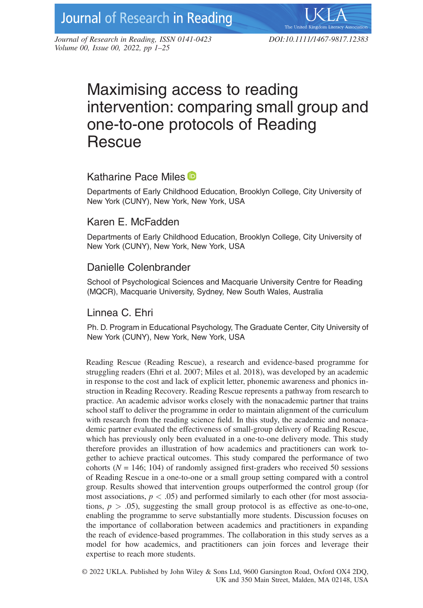*Journal of Research in Reading, ISSN 0141-0423 DOI:10.1111/1467-9817.12383 Volume 00, Issue 00, 2022, pp 1–25*

# Maximising access to reading intervention: comparing small group and one-to-one protocols of Reading **Rescue**

# Katharine Pace Miles D

Departments of Early Childhood Education, Brooklyn College, City University of New York (CUNY), New York, New York, USA

# Karen E. McFadden

Departments of Early Childhood Education, Brooklyn College, City University of New York (CUNY), New York, New York, USA

# Danielle Colenbrander

School of Psychological Sciences and Macquarie University Centre for Reading (MQCR), Macquarie University, Sydney, New South Wales, Australia

# Linnea C. Ehri

Ph. D. Program in Educational Psychology, The Graduate Center, City University of New York (CUNY), New York, New York, USA

Reading Rescue (Reading Rescue), a research and evidence-based programme for struggling readers (Ehri et al. 2007; Miles et al. 2018), was developed by an academic in response to the cost and lack of explicit letter, phonemic awareness and phonics instruction in Reading Recovery. Reading Rescue represents a pathway from research to practice. An academic advisor works closely with the nonacademic partner that trains school staff to deliver the programme in order to maintain alignment of the curriculum with research from the reading science field. In this study, the academic and nonacademic partner evaluated the effectiveness of small-group delivery of Reading Rescue, which has previously only been evaluated in a one-to-one delivery mode. This study therefore provides an illustration of how academics and practitioners can work together to achieve practical outcomes. This study compared the performance of two cohorts ( $N = 146$ ; 104) of randomly assigned first-graders who received 50 sessions of Reading Rescue in a one-to-one or a small group setting compared with a control group. Results showed that intervention groups outperformed the control group (for most associations,  $p < .05$ ) and performed similarly to each other (for most associations,  $p > .05$ ), suggesting the small group protocol is as effective as one-to-one, enabling the programme to serve substantially more students. Discussion focuses on the importance of collaboration between academics and practitioners in expanding the reach of evidence-based programmes. The collaboration in this study serves as a model for how academics, and practitioners can join forces and leverage their expertise to reach more students.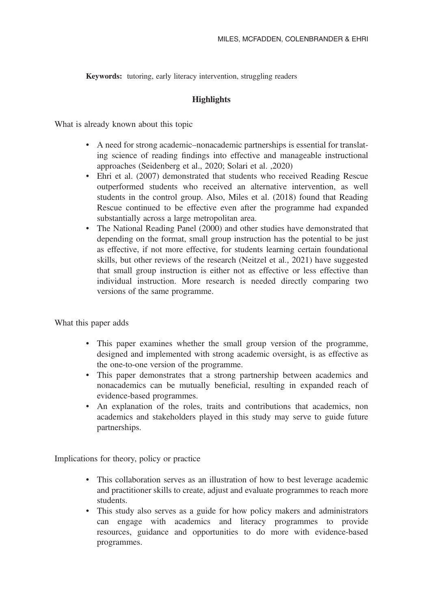**Keywords:** tutoring, early literacy intervention, struggling readers

# **Highlights**

What is already known about this topic

- A need for strong academic–nonacademic partnerships is essential for translating science of reading findings into effective and manageable instructional approaches (Seidenberg et al., 2020; Solari et al. ,2020)
- Ehri et al. (2007) demonstrated that students who received Reading Rescue outperformed students who received an alternative intervention, as well students in the control group. Also, Miles et al. (2018) found that Reading Rescue continued to be effective even after the programme had expanded substantially across a large metropolitan area.
- The National Reading Panel (2000) and other studies have demonstrated that depending on the format, small group instruction has the potential to be just as effective, if not more effective, for students learning certain foundational skills, but other reviews of the research (Neitzel et al., 2021) have suggested that small group instruction is either not as effective or less effective than individual instruction. More research is needed directly comparing two versions of the same programme.

What this paper adds

- This paper examines whether the small group version of the programme, designed and implemented with strong academic oversight, is as effective as the one-to-one version of the programme.
- This paper demonstrates that a strong partnership between academics and nonacademics can be mutually beneficial, resulting in expanded reach of evidence-based programmes.
- An explanation of the roles, traits and contributions that academics, non academics and stakeholders played in this study may serve to guide future partnerships.

Implications for theory, policy or practice

- This collaboration serves as an illustration of how to best leverage academic and practitioner skills to create, adjust and evaluate programmes to reach more students.
- This study also serves as a guide for how policy makers and administrators can engage with academics and literacy programmes to provide resources, guidance and opportunities to do more with evidence-based programmes.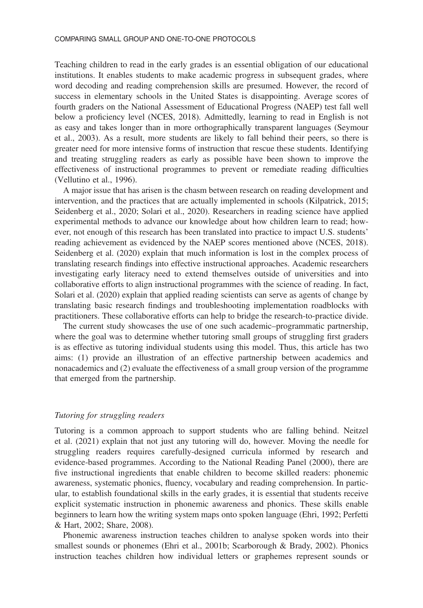Teaching children to read in the early grades is an essential obligation of our educational institutions. It enables students to make academic progress in subsequent grades, where word decoding and reading comprehension skills are presumed. However, the record of success in elementary schools in the United States is disappointing. Average scores of fourth graders on the National Assessment of Educational Progress (NAEP) test fall well below a proficiency level (NCES, 2018). Admittedly, learning to read in English is not as easy and takes longer than in more orthographically transparent languages (Seymour et al., 2003). As a result, more students are likely to fall behind their peers, so there is greater need for more intensive forms of instruction that rescue these students. Identifying and treating struggling readers as early as possible have been shown to improve the effectiveness of instructional programmes to prevent or remediate reading difficulties (Vellutino et al., 1996).

A major issue that has arisen is the chasm between research on reading development and intervention, and the practices that are actually implemented in schools (Kilpatrick, 2015; Seidenberg et al., 2020; Solari et al., 2020). Researchers in reading science have applied experimental methods to advance our knowledge about how children learn to read; however, not enough of this research has been translated into practice to impact U.S. students' reading achievement as evidenced by the NAEP scores mentioned above (NCES, 2018). Seidenberg et al. (2020) explain that much information is lost in the complex process of translating research findings into effective instructional approaches. Academic researchers investigating early literacy need to extend themselves outside of universities and into collaborative efforts to align instructional programmes with the science of reading. In fact, Solari et al. (2020) explain that applied reading scientists can serve as agents of change by translating basic research findings and troubleshooting implementation roadblocks with practitioners. These collaborative efforts can help to bridge the research-to-practice divide.

The current study showcases the use of one such academic–programmatic partnership, where the goal was to determine whether tutoring small groups of struggling first graders is as effective as tutoring individual students using this model. Thus, this article has two aims: (1) provide an illustration of an effective partnership between academics and nonacademics and (2) evaluate the effectiveness of a small group version of the programme that emerged from the partnership.

#### *Tutoring for struggling readers*

Tutoring is a common approach to support students who are falling behind. Neitzel et al. (2021) explain that not just any tutoring will do, however. Moving the needle for struggling readers requires carefully-designed curricula informed by research and evidence-based programmes. According to the National Reading Panel (2000), there are five instructional ingredients that enable children to become skilled readers: phonemic awareness, systematic phonics, fluency, vocabulary and reading comprehension. In particular, to establish foundational skills in the early grades, it is essential that students receive explicit systematic instruction in phonemic awareness and phonics. These skills enable beginners to learn how the writing system maps onto spoken language (Ehri, 1992; Perfetti & Hart, 2002; Share, 2008).

Phonemic awareness instruction teaches children to analyse spoken words into their smallest sounds or phonemes (Ehri et al., 2001b; Scarborough & Brady, 2002). Phonics instruction teaches children how individual letters or graphemes represent sounds or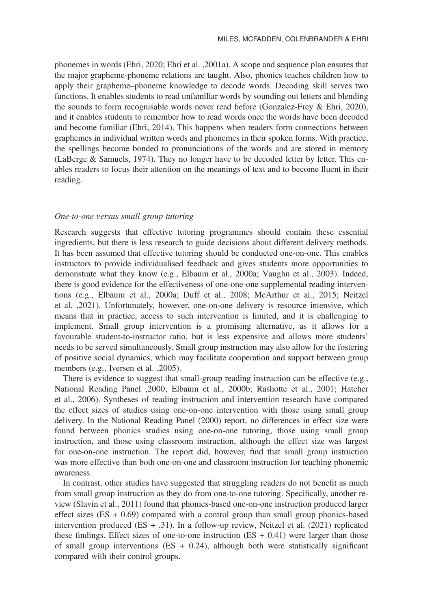phonemes in words (Ehri, 2020; Ehri et al. ,2001a). A scope and sequence plan ensures that the major grapheme-phoneme relations are taught. Also, phonics teaches children how to apply their grapheme–phoneme knowledge to decode words. Decoding skill serves two functions. It enables students to read unfamiliar words by sounding out letters and blending the sounds to form recognisable words never read before (Gonzalez-Frey & Ehri, 2020), and it enables students to remember how to read words once the words have been decoded and become familiar (Ehri, 2014). This happens when readers form connections between graphemes in individual written words and phonemes in their spoken forms. With practice, the spellings become bonded to pronunciations of the words and are stored in memory (LaBerge & Samuels, 1974). They no longer have to be decoded letter by letter. This enables readers to focus their attention on the meanings of text and to become fluent in their reading.

#### *One-to-one versus small group tutoring*

Research suggests that effective tutoring programmes should contain these essential ingredients, but there is less research to guide decisions about different delivery methods. It has been assumed that effective tutoring should be conducted one-on-one. This enables instructors to provide individualised feedback and gives students more opportunities to demonstrate what they know (e.g., Elbaum et al., 2000a; Vaughn et al., 2003). Indeed, there is good evidence for the effectiveness of one-one-one supplemental reading interventions (e.g., Elbaum et al., 2000a; Duff et al., 2008; McArthur et al., 2015; Neitzel et al. ,2021). Unfortunately, however, one-on-one delivery is resource intensive, which means that in practice, access to such intervention is limited, and it is challenging to implement. Small group intervention is a promising alternative, as it allows for a favourable student-to-instructor ratio, but is less expensive and allows more students' needs to be served simultaneously. Small group instruction may also allow for the fostering of positive social dynamics, which may facilitate cooperation and support between group members (e.g., Iversen et al. ,2005).

There is evidence to suggest that small-group reading instruction can be effective (e.g., National Reading Panel ,2000; Elbaum et al., 2000b; Rashotte et al., 2001; Hatcher et al., 2006). Syntheses of reading instruction and intervention research have compared the effect sizes of studies using one-on-one intervention with those using small group delivery. In the National Reading Panel (2000) report, no differences in effect size were found between phonics studies using one-on-one tutoring, those using small group instruction, and those using classroom instruction, although the effect size was largest for one-on-one instruction. The report did, however, find that small group instruction was more effective than both one-on-one and classroom instruction for teaching phonemic awareness.

In contrast, other studies have suggested that struggling readers do not benefit as much from small group instruction as they do from one-to-one tutoring. Specifically, another review (Slavin et al., 2011) found that phonics-based one-on-one instruction produced larger effect sizes  $(ES + 0.69)$  compared with a control group than small group phonics-based intervention produced  $(ES + .31)$ . In a follow-up review, Neitzel et al. (2021) replicated these findings. Effect sizes of one-to-one instruction  $(ES + 0.41)$  were larger than those of small group interventions  $(ES + 0.24)$ , although both were statistically significant compared with their control groups.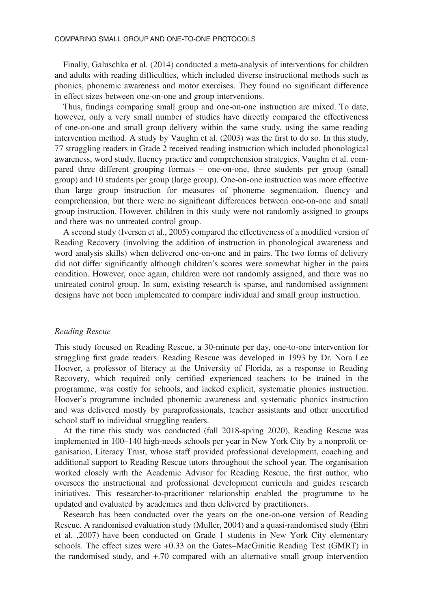Finally, Galuschka et al. (2014) conducted a meta-analysis of interventions for children and adults with reading difficulties, which included diverse instructional methods such as phonics, phonemic awareness and motor exercises. They found no significant difference in effect sizes between one-on-one and group interventions.

Thus, findings comparing small group and one-on-one instruction are mixed. To date, however, only a very small number of studies have directly compared the effectiveness of one-on-one and small group delivery within the same study, using the same reading intervention method. A study by Vaughn et al. (2003) was the first to do so. In this study, 77 struggling readers in Grade 2 received reading instruction which included phonological awareness, word study, fluency practice and comprehension strategies. Vaughn et al. compared three different grouping formats – one-on-one, three students per group (small group) and 10 students per group (large group). One-on-one instruction was more effective than large group instruction for measures of phoneme segmentation, fluency and comprehension, but there were no significant differences between one-on-one and small group instruction. However, children in this study were not randomly assigned to groups and there was no untreated control group.

A second study (Iversen et al., 2005) compared the effectiveness of a modified version of Reading Recovery (involving the addition of instruction in phonological awareness and word analysis skills) when delivered one-on-one and in pairs. The two forms of delivery did not differ significantly although children's scores were somewhat higher in the pairs condition. However, once again, children were not randomly assigned, and there was no untreated control group. In sum, existing research is sparse, and randomised assignment designs have not been implemented to compare individual and small group instruction.

### *Reading Rescue*

This study focused on Reading Rescue, a 30-minute per day, one-to-one intervention for struggling first grade readers. Reading Rescue was developed in 1993 by Dr. Nora Lee Hoover, a professor of literacy at the University of Florida, as a response to Reading Recovery, which required only certified experienced teachers to be trained in the programme, was costly for schools, and lacked explicit, systematic phonics instruction. Hoover's programme included phonemic awareness and systematic phonics instruction and was delivered mostly by paraprofessionals, teacher assistants and other uncertified school staff to individual struggling readers.

At the time this study was conducted (fall 2018-spring 2020), Reading Rescue was implemented in 100–140 high-needs schools per year in New York City by a nonprofit organisation, Literacy Trust, whose staff provided professional development, coaching and additional support to Reading Rescue tutors throughout the school year. The organisation worked closely with the Academic Advisor for Reading Rescue, the first author, who oversees the instructional and professional development curricula and guides research initiatives. This researcher-to-practitioner relationship enabled the programme to be updated and evaluated by academics and then delivered by practitioners.

Research has been conducted over the years on the one-on-one version of Reading Rescue. A randomised evaluation study (Muller, 2004) and a quasi-randomised study (Ehri et al. ,2007) have been conducted on Grade 1 students in New York City elementary schools. The effect sizes were +0.33 on the Gates–MacGinitie Reading Test (GMRT) in the randomised study, and +.70 compared with an alternative small group intervention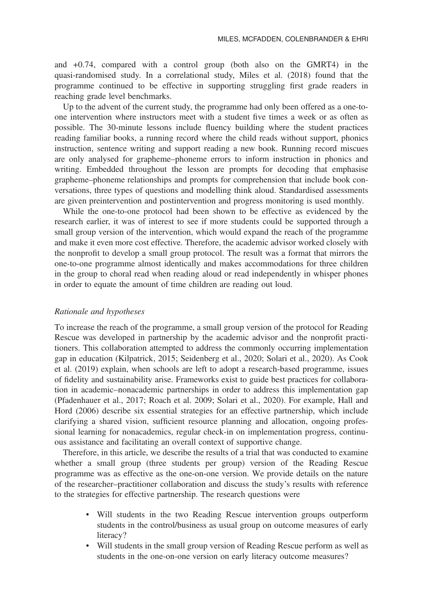and +0.74, compared with a control group (both also on the GMRT4) in the quasi-randomised study. In a correlational study, Miles et al. (2018) found that the programme continued to be effective in supporting struggling first grade readers in reaching grade level benchmarks.

Up to the advent of the current study, the programme had only been offered as a one-toone intervention where instructors meet with a student five times a week or as often as possible. The 30-minute lessons include fluency building where the student practices reading familiar books, a running record where the child reads without support, phonics instruction, sentence writing and support reading a new book. Running record miscues are only analysed for grapheme–phoneme errors to inform instruction in phonics and writing. Embedded throughout the lesson are prompts for decoding that emphasise grapheme–phoneme relationships and prompts for comprehension that include book conversations, three types of questions and modelling think aloud. Standardised assessments are given preintervention and postintervention and progress monitoring is used monthly.

While the one-to-one protocol had been shown to be effective as evidenced by the research earlier, it was of interest to see if more students could be supported through a small group version of the intervention, which would expand the reach of the programme and make it even more cost effective. Therefore, the academic advisor worked closely with the nonprofit to develop a small group protocol. The result was a format that mirrors the one-to-one programme almost identically and makes accommodations for three children in the group to choral read when reading aloud or read independently in whisper phones in order to equate the amount of time children are reading out loud.

#### *Rationale and hypotheses*

To increase the reach of the programme, a small group version of the protocol for Reading Rescue was developed in partnership by the academic advisor and the nonprofit practitioners. This collaboration attempted to address the commonly occurring implementation gap in education (Kilpatrick, 2015; Seidenberg et al., 2020; Solari et al., 2020). As Cook et al. (2019) explain, when schools are left to adopt a research-based programme, issues of fidelity and sustainability arise. Frameworks exist to guide best practices for collaboration in academic–nonacademic partnerships in order to address this implementation gap (Pfadenhauer et al., 2017; Roach et al. 2009; Solari et al., 2020). For example, Hall and Hord (2006) describe six essential strategies for an effective partnership, which include clarifying a shared vision, sufficient resource planning and allocation, ongoing professional learning for nonacademics, regular check-in on implementation progress, continuous assistance and facilitating an overall context of supportive change.

Therefore, in this article, we describe the results of a trial that was conducted to examine whether a small group (three students per group) version of the Reading Rescue programme was as effective as the one-on-one version. We provide details on the nature of the researcher–practitioner collaboration and discuss the study's results with reference to the strategies for effective partnership. The research questions were

- Will students in the two Reading Rescue intervention groups outperform students in the control/business as usual group on outcome measures of early literacy?
- Will students in the small group version of Reading Rescue perform as well as students in the one-on-one version on early literacy outcome measures?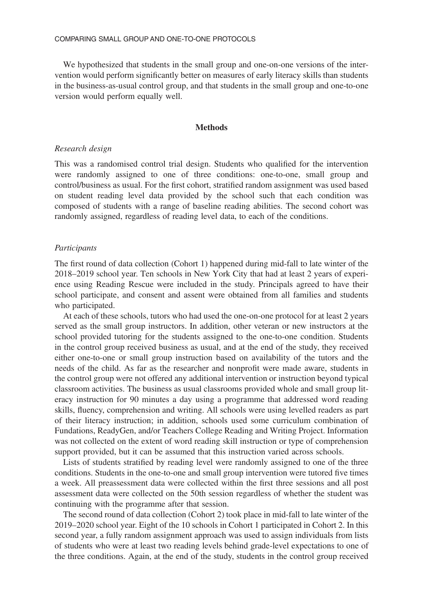We hypothesized that students in the small group and one-on-one versions of the intervention would perform significantly better on measures of early literacy skills than students in the business-as-usual control group, and that students in the small group and one-to-one version would perform equally well.

### **Methods**

#### *Research design*

This was a randomised control trial design. Students who qualified for the intervention were randomly assigned to one of three conditions: one-to-one, small group and control/business as usual. For the first cohort, stratified random assignment was used based on student reading level data provided by the school such that each condition was composed of students with a range of baseline reading abilities. The second cohort was randomly assigned, regardless of reading level data, to each of the conditions.

## *Participants*

The first round of data collection (Cohort 1) happened during mid-fall to late winter of the 2018–2019 school year. Ten schools in New York City that had at least 2 years of experience using Reading Rescue were included in the study. Principals agreed to have their school participate, and consent and assent were obtained from all families and students who participated.

At each of these schools, tutors who had used the one-on-one protocol for at least 2 years served as the small group instructors. In addition, other veteran or new instructors at the school provided tutoring for the students assigned to the one-to-one condition. Students in the control group received business as usual, and at the end of the study, they received either one-to-one or small group instruction based on availability of the tutors and the needs of the child. As far as the researcher and nonprofit were made aware, students in the control group were not offered any additional intervention or instruction beyond typical classroom activities. The business as usual classrooms provided whole and small group literacy instruction for 90 minutes a day using a programme that addressed word reading skills, fluency, comprehension and writing. All schools were using levelled readers as part of their literacy instruction; in addition, schools used some curriculum combination of Fundations, ReadyGen, and/or Teachers College Reading and Writing Project. Information was not collected on the extent of word reading skill instruction or type of comprehension support provided, but it can be assumed that this instruction varied across schools.

Lists of students stratified by reading level were randomly assigned to one of the three conditions. Students in the one-to-one and small group intervention were tutored five times a week. All preassessment data were collected within the first three sessions and all post assessment data were collected on the 50th session regardless of whether the student was continuing with the programme after that session.

The second round of data collection (Cohort 2) took place in mid-fall to late winter of the 2019–2020 school year. Eight of the 10 schools in Cohort 1 participated in Cohort 2. In this second year, a fully random assignment approach was used to assign individuals from lists of students who were at least two reading levels behind grade-level expectations to one of the three conditions. Again, at the end of the study, students in the control group received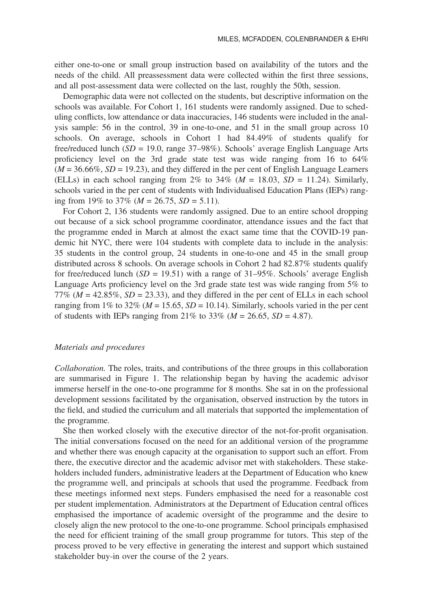either one-to-one or small group instruction based on availability of the tutors and the needs of the child. All preassessment data were collected within the first three sessions, and all post-assessment data were collected on the last, roughly the 50th, session.

Demographic data were not collected on the students, but descriptive information on the schools was available. For Cohort 1, 161 students were randomly assigned. Due to scheduling conflicts, low attendance or data inaccuracies, 146 students were included in the analysis sample: 56 in the control, 39 in one-to-one, and 51 in the small group across 10 schools. On average, schools in Cohort 1 had 84.49% of students qualify for free/reduced lunch (*SD* = 19.0, range 37–98%). Schools' average English Language Arts proficiency level on the 3rd grade state test was wide ranging from 16 to 64%  $(M = 36.66\%, SD = 19.23)$ , and they differed in the per cent of English Language Learners (ELLs) in each school ranging from 2% to 34% ( $M = 18.03$ ,  $SD = 11.24$ ). Similarly, schools varied in the per cent of students with Individualised Education Plans (IEPs) ranging from 19% to 37% (*M* = 26.75, *SD* = 5.11).

For Cohort 2, 136 students were randomly assigned. Due to an entire school dropping out because of a sick school programme coordinator, attendance issues and the fact that the programme ended in March at almost the exact same time that the COVID-19 pandemic hit NYC, there were 104 students with complete data to include in the analysis: 35 students in the control group, 24 students in one-to-one and 45 in the small group distributed across 8 schools. On average schools in Cohort 2 had 82.87% students qualify for free/reduced lunch  $(SD = 19.51)$  with a range of 31–95%. Schools' average English Language Arts proficiency level on the 3rd grade state test was wide ranging from 5% to 77% ( $M = 42.85\%$ ,  $SD = 23.33$ ), and they differed in the per cent of ELLs in each school ranging from 1% to 32% ( $M = 15.65$ ,  $SD = 10.14$ ). Similarly, schools varied in the per cent of students with IEPs ranging from 21% to 33% ( $M = 26.65$ ,  $SD = 4.87$ ).

## *Materials and procedures*

*Collaboration.* The roles, traits, and contributions of the three groups in this collaboration are summarised in Figure 1. The relationship began by having the academic advisor immerse herself in the one-to-one programme for 8 months. She sat in on the professional development sessions facilitated by the organisation, observed instruction by the tutors in the field, and studied the curriculum and all materials that supported the implementation of the programme.

She then worked closely with the executive director of the not-for-profit organisation. The initial conversations focused on the need for an additional version of the programme and whether there was enough capacity at the organisation to support such an effort. From there, the executive director and the academic advisor met with stakeholders. These stakeholders included funders, administrative leaders at the Department of Education who knew the programme well, and principals at schools that used the programme. Feedback from these meetings informed next steps. Funders emphasised the need for a reasonable cost per student implementation. Administrators at the Department of Education central offices emphasised the importance of academic oversight of the programme and the desire to closely align the new protocol to the one-to-one programme. School principals emphasised the need for efficient training of the small group programme for tutors. This step of the process proved to be very effective in generating the interest and support which sustained stakeholder buy-in over the course of the 2 years.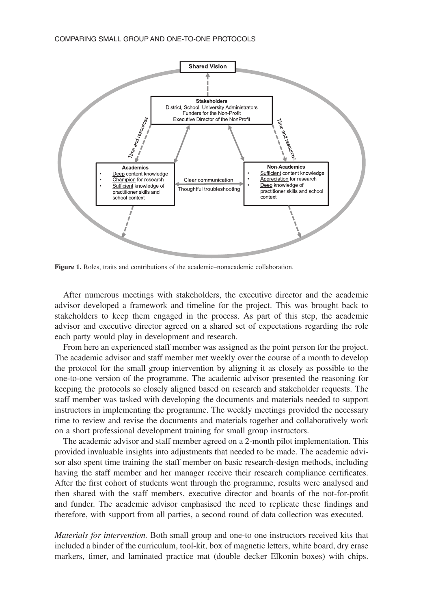COMPARING SMALL GROUP AND ONE-TO-ONE PROTOCOLS



**Figure 1.** Roles, traits and contributions of the academic–nonacademic collaboration.

After numerous meetings with stakeholders, the executive director and the academic advisor developed a framework and timeline for the project. This was brought back to stakeholders to keep them engaged in the process. As part of this step, the academic advisor and executive director agreed on a shared set of expectations regarding the role each party would play in development and research.

From here an experienced staff member was assigned as the point person for the project. The academic advisor and staff member met weekly over the course of a month to develop the protocol for the small group intervention by aligning it as closely as possible to the one-to-one version of the programme. The academic advisor presented the reasoning for keeping the protocols so closely aligned based on research and stakeholder requests. The staff member was tasked with developing the documents and materials needed to support instructors in implementing the programme. The weekly meetings provided the necessary time to review and revise the documents and materials together and collaboratively work on a short professional development training for small group instructors.

The academic advisor and staff member agreed on a 2-month pilot implementation. This provided invaluable insights into adjustments that needed to be made. The academic advisor also spent time training the staff member on basic research-design methods, including having the staff member and her manager receive their research compliance certificates. After the first cohort of students went through the programme, results were analysed and then shared with the staff members, executive director and boards of the not-for-profit and funder. The academic advisor emphasised the need to replicate these findings and therefore, with support from all parties, a second round of data collection was executed.

*Materials for intervention.* Both small group and one-to one instructors received kits that included a binder of the curriculum, tool-kit, box of magnetic letters, white board, dry erase markers, timer, and laminated practice mat (double decker Elkonin boxes) with chips.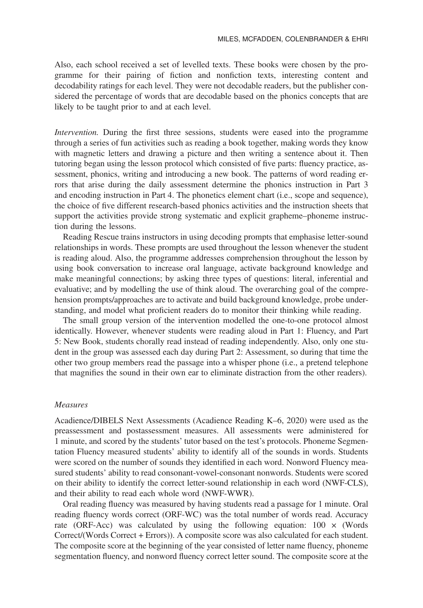Also, each school received a set of levelled texts. These books were chosen by the programme for their pairing of fiction and nonfiction texts, interesting content and decodability ratings for each level. They were not decodable readers, but the publisher considered the percentage of words that are decodable based on the phonics concepts that are likely to be taught prior to and at each level.

*Intervention.* During the first three sessions, students were eased into the programme through a series of fun activities such as reading a book together, making words they know with magnetic letters and drawing a picture and then writing a sentence about it. Then tutoring began using the lesson protocol which consisted of five parts: fluency practice, assessment, phonics, writing and introducing a new book. The patterns of word reading errors that arise during the daily assessment determine the phonics instruction in Part 3 and encoding instruction in Part 4. The phonetics element chart (i.e., scope and sequence), the choice of five different research-based phonics activities and the instruction sheets that support the activities provide strong systematic and explicit grapheme–phoneme instruction during the lessons.

Reading Rescue trains instructors in using decoding prompts that emphasise letter-sound relationships in words. These prompts are used throughout the lesson whenever the student is reading aloud. Also, the programme addresses comprehension throughout the lesson by using book conversation to increase oral language, activate background knowledge and make meaningful connections; by asking three types of questions: literal, inferential and evaluative; and by modelling the use of think aloud. The overarching goal of the comprehension prompts/approaches are to activate and build background knowledge, probe understanding, and model what proficient readers do to monitor their thinking while reading.

The small group version of the intervention modelled the one-to-one protocol almost identically. However, whenever students were reading aloud in Part 1: Fluency, and Part 5: New Book, students chorally read instead of reading independently. Also, only one student in the group was assessed each day during Part 2: Assessment, so during that time the other two group members read the passage into a whisper phone (i.e., a pretend telephone that magnifies the sound in their own ear to eliminate distraction from the other readers).

#### *Measures*

Acadience/DIBELS Next Assessments (Acadience Reading K–6, 2020) were used as the preassessment and postassessment measures. All assessments were administered for 1 minute, and scored by the students' tutor based on the test's protocols. Phoneme Segmentation Fluency measured students' ability to identify all of the sounds in words. Students were scored on the number of sounds they identified in each word. Nonword Fluency measured students' ability to read consonant-vowel-consonant nonwords. Students were scored on their ability to identify the correct letter-sound relationship in each word (NWF-CLS), and their ability to read each whole word (NWF-WWR).

Oral reading fluency was measured by having students read a passage for 1 minute. Oral reading fluency words correct (ORF-WC) was the total number of words read. Accuracy rate (ORF-Acc) was calculated by using the following equation:  $100 \times$  (Words Correct/(Words Correct + Errors)). A composite score was also calculated for each student. The composite score at the beginning of the year consisted of letter name fluency, phoneme segmentation fluency, and nonword fluency correct letter sound. The composite score at the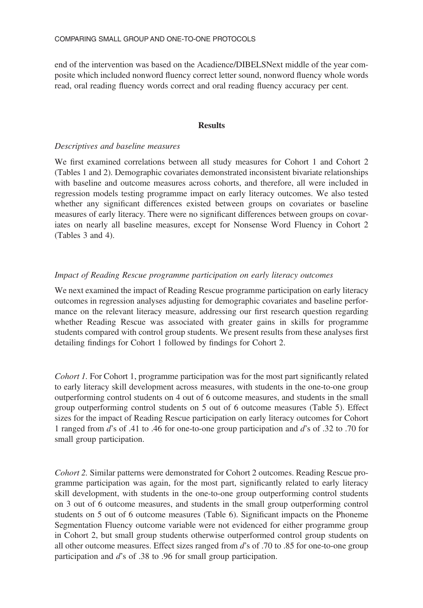end of the intervention was based on the Acadience/DIBELSNext middle of the year composite which included nonword fluency correct letter sound, nonword fluency whole words read, oral reading fluency words correct and oral reading fluency accuracy per cent.

## **Results**

# *Descriptives and baseline measures*

We first examined correlations between all study measures for Cohort 1 and Cohort 2 (Tables 1 and 2). Demographic covariates demonstrated inconsistent bivariate relationships with baseline and outcome measures across cohorts, and therefore, all were included in regression models testing programme impact on early literacy outcomes. We also tested whether any significant differences existed between groups on covariates or baseline measures of early literacy. There were no significant differences between groups on covariates on nearly all baseline measures, except for Nonsense Word Fluency in Cohort 2 (Tables 3 and 4).

# *Impact of Reading Rescue programme participation on early literacy outcomes*

We next examined the impact of Reading Rescue programme participation on early literacy outcomes in regression analyses adjusting for demographic covariates and baseline performance on the relevant literacy measure, addressing our first research question regarding whether Reading Rescue was associated with greater gains in skills for programme students compared with control group students. We present results from these analyses first detailing findings for Cohort 1 followed by findings for Cohort 2.

*Cohort 1.* For Cohort 1, programme participation was for the most part significantly related to early literacy skill development across measures, with students in the one-to-one group outperforming control students on 4 out of 6 outcome measures, and students in the small group outperforming control students on 5 out of 6 outcome measures (Table 5). Effect sizes for the impact of Reading Rescue participation on early literacy outcomes for Cohort 1 ranged from *d*'s of .41 to .46 for one-to-one group participation and *d*'s of .32 to .70 for small group participation.

*Cohort 2.* Similar patterns were demonstrated for Cohort 2 outcomes. Reading Rescue programme participation was again, for the most part, significantly related to early literacy skill development, with students in the one-to-one group outperforming control students on 3 out of 6 outcome measures, and students in the small group outperforming control students on 5 out of 6 outcome measures (Table 6). Significant impacts on the Phoneme Segmentation Fluency outcome variable were not evidenced for either programme group in Cohort 2, but small group students otherwise outperformed control group students on all other outcome measures. Effect sizes ranged from *d*'s of .70 to .85 for one-to-one group participation and *d*'s of .38 to .96 for small group participation.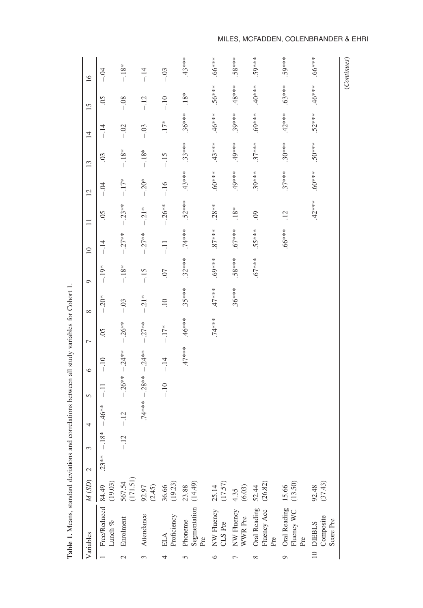| $-.12$<br>$.18*$<br>$-.12$<br>$.23**$<br>(171.51)<br>(14.49)<br>(19.03)<br>567.54<br>36.66<br>(19.23)<br>$25.14$<br>(17.57)<br>(13.50)<br>(26.82)<br>$92.97$<br>(2.45)<br>Free/Reduced 84.49<br>23.88<br>15.66<br>$4.35$<br>(6.03)<br>52.44<br>Segmentation<br>Pre<br>Oral Reading<br>Oral Reading<br>NW Fluency<br>Fluency Acc<br>Fluency WC<br>NW Fluency<br>Attendance<br>Proficiency<br>WWR Pre<br>Enrolment<br>Phoneme<br>CLS Pre<br>Lunch $\%$<br><b>ELA</b><br>Pre<br>Pre<br>$\mathcal{L}$<br>3<br>$\circ$<br>Ó<br>Γ<br>$\infty$<br>5 | 5<br>4           | $\circ$  | 7                  | ${}^{\circ}$    | $\circ$     | $\overline{10}$ | $\Box$          | $\overline{2}$   | $\frac{3}{2}$ | $\overline{4}$ | 15                 | $\overline{16}$ |
|----------------------------------------------------------------------------------------------------------------------------------------------------------------------------------------------------------------------------------------------------------------------------------------------------------------------------------------------------------------------------------------------------------------------------------------------------------------------------------------------------------------------------------------------|------------------|----------|--------------------|-----------------|-------------|-----------------|-----------------|------------------|---------------|----------------|--------------------|-----------------|
|                                                                                                                                                                                                                                                                                                                                                                                                                                                                                                                                              | $-11$<br>$-46**$ | $-10$    | $\widetilde{S}0$ . | $-.20*$         | $-19*$      | $-14$           | $\overline{5}$  | $-0.4$           | 03            | $-14$          | $\widetilde{S}0$ . |                 |
|                                                                                                                                                                                                                                                                                                                                                                                                                                                                                                                                              | $-26**$          | $-.24**$ | $-.26**$           | $-.03$          | $-18*$      | $-.27**$        | $-.23**$        | $-17*$           | $-.18*$       | $-.02$         | $-0.08$            |                 |
|                                                                                                                                                                                                                                                                                                                                                                                                                                                                                                                                              | $.74***-.28***$  | $-.24**$ | $-.27**$           | $-.21*$         | $-15$       | $-.27**$        | $-21*$          | $-20*$           | $-.18*$       | $-.03$         | $-12$              |                 |
|                                                                                                                                                                                                                                                                                                                                                                                                                                                                                                                                              | $-10$            | $-14$    | $-17*$             | $\overline{10}$ | <b>CO</b> . | $-11$           | $-0.26**$       | $-16$            | $-15$         | $.17*$         | $-10$              |                 |
|                                                                                                                                                                                                                                                                                                                                                                                                                                                                                                                                              |                  | $.47***$ | $.46***$           | $.35***$        | $.32***$    | $.74***$        | $.52***$        | $.43***$         | $.33***$      | $.36***$       | $.18*$             |                 |
|                                                                                                                                                                                                                                                                                                                                                                                                                                                                                                                                              |                  |          | $.74***$           | $.47***$        | $.69***$    | $37***$         | $.28**$         | $.60***$         | $.43***$      | $46***$        | $.56***$           |                 |
|                                                                                                                                                                                                                                                                                                                                                                                                                                                                                                                                              |                  |          |                    | $.36***$        | ***8.       | $.67***$        | $.18*$          | $49***$          | .49***        | $.39***$       | $.48***$           |                 |
|                                                                                                                                                                                                                                                                                                                                                                                                                                                                                                                                              |                  |          |                    |                 | $.67***$    | $.55***$        | $\odot$         | $.39***$         | $.37***$      | $****69.$      | $-4.5$             |                 |
|                                                                                                                                                                                                                                                                                                                                                                                                                                                                                                                                              |                  |          |                    |                 |             | $***899.$       | $\overline{12}$ | $.37***$         | $.30***$      | $.42***$       | $.63***$           |                 |
| (37.43)<br>92.48<br>Composite<br>Score Pre<br>10 DIEBLS                                                                                                                                                                                                                                                                                                                                                                                                                                                                                      |                  |          |                    |                 |             |                 | $.42***$        | $\ast\ast\ast09$ | $50***$       | $.52***$       | $.46***$           |                 |

Table 1. Means, standard deviations and correlations between all study variables for Cohort 1. **Table 1.** Means, standard deviations and correlations between all study variables for Cohort 1.

MILES, MCFADDEN, COLENBRANDER & EHRI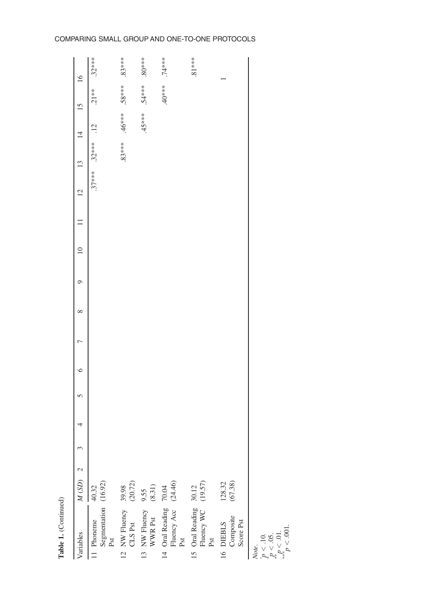# COMPARING SMALL GROUP AND ONE-TO-ONE PROTOCOLS

| Variables                                              | $M(SD)$ 2         | 3 | 5<br>4 | ∘ | ∞ | Ò | $\supseteq$ | $\overline{12}$ | $\frac{13}{2}$        | $\overline{4}$ | $15 \,$  | $\overline{16}$ |
|--------------------------------------------------------|-------------------|---|--------|---|---|---|-------------|-----------------|-----------------------|----------------|----------|-----------------|
| Segmentation (16.92)<br>Pst<br>11 Phoneme              | 40.32             |   |        |   |   |   |             |                 | $.37***$ $.32***$ .12 |                | $.21**$  | $.32***$        |
| 12 NW Fluency<br>CLS Pst                               | (20.72)<br>39.98  |   |        |   |   |   |             |                 | $.83***$              | $.46***$       | $.58***$ | $.83***$        |
| 13 NW Fluency<br>WWR Pst                               | $9.55$<br>(8.31)  |   |        |   |   |   |             |                 |                       | $45***$        | 54****   | $80***$         |
| Fluency Acc (24.46)<br>14 Oral Reading 70.04<br>Pst    |                   |   |        |   |   |   |             |                 |                       |                | $40***$  | $.74***$        |
| 15 Oral Reading $30.12$<br>Fluency WC $(19.57)$<br>Pst |                   |   |        |   |   |   |             |                 |                       |                |          | $.81***$        |
| Composite<br>16 DIEBLS<br>Score Pst                    | (67.38)<br>128.32 |   |        |   |   |   |             |                 |                       |                |          |                 |
| n < 10<br>Note.                                        |                   |   |        |   |   |   |             |                 |                       |                |          |                 |

**Table 1.** (Continued)

Table 1. (Continued)

*p <* .10. \* *p <* .05. \*\**p <* .01. \*\*\**p <* .001.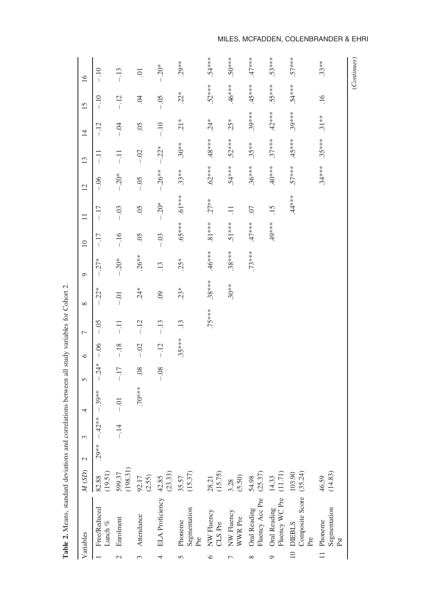|                 | Variables                               | M(SD)              | $\mathcal{L}$ | 3        | 4        | 5       | $\circ$  | $\overline{ }$ | ${}^{\circ}$ | $\circ$          | $\supseteq$     | $\Box$                    | $\overline{2}$ | 13       | $\overline{4}$            | 15               | 16             |
|-----------------|-----------------------------------------|--------------------|---------------|----------|----------|---------|----------|----------------|--------------|------------------|-----------------|---------------------------|----------------|----------|---------------------------|------------------|----------------|
|                 | Free/Reduced<br>Lunch $\%$              | $82.88$<br>(19.51) | $.29***$      | $-.42**$ | $-39**$  | $-.24*$ | $-0.06$  | $-0.5$         | $-.22*$      | $-.27*$          | $-17$           | $-17$                     | $-0.06$        | $-11$    | $-12$                     | $-10$            | $-10$          |
|                 | Enrolment                               | 599.37<br>(198.31) |               | $-14$    | $-0.01$  | $-17$   | $-18$    | $-11$          | $-0.01$      | $-0.20*$         | $-16$           | $-.03$                    | $-.20*$        | $-11$    | $-0.4$                    | $-12$            | $-13$          |
|                 | Attendance                              | $92.17$<br>(2.55)  |               |          | $.70***$ | 08      | $-.02$   | $-12$          | $.24*$       | $.26**$          | $\widetilde{S}$ | $\widetilde{\mathcal{S}}$ | $-0.5$         | $-.02$   | $\widetilde{\mathcal{S}}$ | S.               | $\overline{0}$ |
|                 | ELA Proficiency                         | $42.85$<br>(23.33) |               |          |          | $-0.08$ | $-.12$   | $-13$          | $\odot$      | $\overline{.13}$ | $-0.03$         | $-.20*$                   | $-.26**$       | $-.22*$  | $-.10$                    | $-0.5$           | $-0.20*$       |
|                 | Segmentation<br>Pre<br>Phoneme          | $35.57$<br>(15.37) |               |          |          |         | $.35***$ | $\ddot{.}$     | $.23*$       | $.25*$           | $65***$         | $.61***$                  | $.33**$        | $.30**$  | $.21*$                    | $.22*$           | $.29**$        |
|                 | NW Fluency<br>CLS Pre                   | 28.21<br>(15.75)   |               |          |          |         |          | .75***         | $.38***$     | $46***$          | $.81***$        | $.27***$                  | $.62***$       | $.48***$ | $.24*$                    | $.52***$         | $.54***$       |
|                 | NW Fluency<br>WWR Pre                   | $3.28$<br>(5.50)   |               |          |          |         |          |                | $.30**$      | $.38***$         | $.51***$        | $\Xi$                     | $.54***$       | $.52***$ | $.25*$                    | $.46***$         | $50***$        |
|                 | Fluency Acc Pre<br>Oral Reading         | $54.98$<br>(25.37) |               |          |          |         |          |                |              | $.73***$         | $47***$         | .07                       | $.36***$       | $.35***$ | $.39***$                  | $45***$          | $.47***$       |
|                 | Fluency WC Pre<br>Oral Reading          | $14.33$<br>(11.71) |               |          |          |         |          |                |              |                  | $49***$         | $\frac{15}{1}$            | $40**$         | $.37***$ | $42***$                   | 35****           | $.53***$       |
| $\overline{10}$ | Composite Score<br><b>DIEBLS</b><br>Pre | (35.24)<br>103.90  |               |          |          |         |          |                |              |                  |                 | $.44***$                  | $57***$        | $45***$  | $.39***$                  | $.54***$         | $57***$        |
|                 | Segmentation<br>Phoneme<br>Pst          | (14.83)<br>46.59   |               |          |          |         |          |                |              |                  |                 |                           | $.34***$       | $.35***$ | $.31**$                   | $\overline{.16}$ | $.33**$        |
|                 |                                         |                    |               |          |          |         |          |                |              |                  |                 |                           |                |          |                           |                  | (Continues)    |

Table 2. Means, standard deviations and correlations between all study variables for Cohort 2. **Table 2.** Means, standard deviations and correlations between all study variables for Cohort 2.

MILES, MCFADDEN, COLENBRANDER & EHRI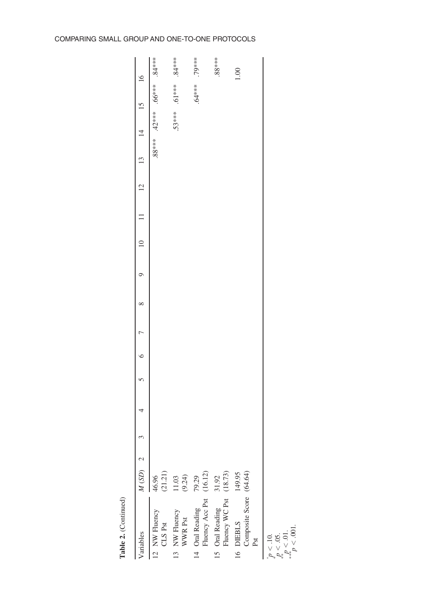# COMPARING SMALL GROUP AND ONE-TO-ONE PROTOCOLS

| /ariables                                   | $M(SD)$ 2          |  |  |  |  |  | $^{13}$ | 4        |           | $\overline{16}$ |
|---------------------------------------------|--------------------|--|--|--|--|--|---------|----------|-----------|-----------------|
| 12 NW Fluency<br>CLS Pst                    | $46.96$<br>(21.21) |  |  |  |  |  | 88***   | $.42***$ | $.66***$  | $84***$         |
| $13\,$ NW Fluency WWR Pst                   | $11.03$<br>(9.24)  |  |  |  |  |  |         | $.53***$ | $***19$ . | $.84***$        |
| 14 Oral Reading<br>Fluency Acc Pst          | $79.29$<br>(16.12) |  |  |  |  |  |         |          | .64***.   | ****6           |
| 15 Oral Reading<br>Fluency WC Pst           | $31.92$<br>(18.73) |  |  |  |  |  |         |          |           | $88***$         |
| Composite Score (64.64)<br>16 DIEBLS<br>Pst | 149.95             |  |  |  |  |  |         |          |           | $\frac{8}{1}$   |
| $\frac{1}{2}$                               |                    |  |  |  |  |  |         |          |           |                 |

Table 2. (Continued) **Table 2.** (Continued)

+ *p <* .10. \* *p <* .05. \*\**p <* .01. \*\*\**p <* .001.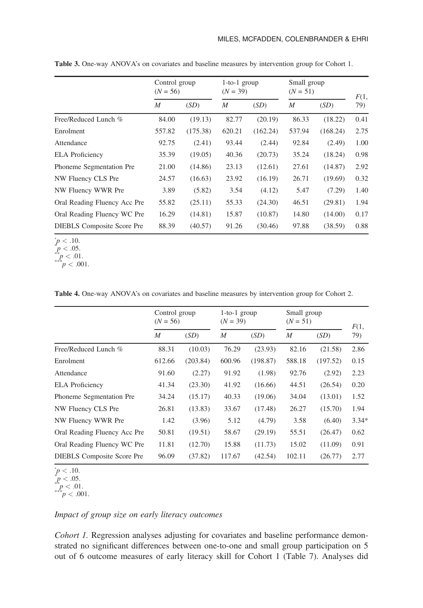|                                   | Control group<br>$(N = 56)$ |          | $1$ -to- $1$ group<br>$(N = 39)$ |          | Small group<br>$(N = 51)$ |          | F(1, |
|-----------------------------------|-----------------------------|----------|----------------------------------|----------|---------------------------|----------|------|
|                                   | $\overline{M}$              | (SD)     | $\boldsymbol{M}$                 | (SD)     | M                         | (SD)     | 79)  |
| Free/Reduced Lunch %              | 84.00                       | (19.13)  | 82.77                            | (20.19)  | 86.33                     | (18.22)  | 0.41 |
| Enrolment                         | 557.82                      | (175.38) | 620.21                           | (162.24) | 537.94                    | (168.24) | 2.75 |
| Attendance                        | 92.75                       | (2.41)   | 93.44                            | (2.44)   | 92.84                     | (2.49)   | 1.00 |
| <b>ELA</b> Proficiency            | 35.39                       | (19.05)  | 40.36                            | (20.73)  | 35.24                     | (18.24)  | 0.98 |
| Phoneme Segmentation Pre          | 21.00                       | (14.86)  | 23.13                            | (12.61)  | 27.61                     | (14.87)  | 2.92 |
| NW Fluency CLS Pre                | 24.57                       | (16.63)  | 23.92                            | (16.19)  | 26.71                     | (19.69)  | 0.32 |
| NW Fluency WWR Pre                | 3.89                        | (5.82)   | 3.54                             | (4.12)   | 5.47                      | (7.29)   | 1.40 |
| Oral Reading Fluency Acc Pre      | 55.82                       | (25.11)  | 55.33                            | (24.30)  | 46.51                     | (29.81)  | 1.94 |
| Oral Reading Fluency WC Pre       | 16.29                       | (14.81)  | 15.87                            | (10.87)  | 14.80                     | (14.00)  | 0.17 |
| <b>DIEBLS</b> Composite Score Pre | 88.39                       | (40.57)  | 91.26                            | (30.46)  | 97.88                     | (38.59)  | 0.88 |

**Table 3.** One-way ANOVA's on covariates and baseline measures by intervention group for Cohort 1.

 $p < .10.$ <sup>\*</sup>

 $p < .05.$ <br>  $p < .01.$ <br>
\*\*\*p  $< .001.$ 

**Table 4.** One-way ANOVA's on covariates and baseline measures by intervention group for Cohort 2.

|                                   | Control group<br>$(N = 56)$ |          | $1$ -to- $1$ group<br>$(N = 39)$ |          | Small group<br>$(N = 51)$ |          | F(1,    |
|-----------------------------------|-----------------------------|----------|----------------------------------|----------|---------------------------|----------|---------|
|                                   | $\boldsymbol{M}$            | (SD)     | $\boldsymbol{M}$                 | (SD)     | M                         | (SD)     | 79)     |
| Free/Reduced Lunch %              | 88.31                       | (10.03)  | 76.29                            | (23.93)  | 82.16                     | (21.58)  | 2.86    |
| Enrolment                         | 612.66                      | (203.84) | 600.96                           | (198.87) | 588.18                    | (197.52) | 0.15    |
| Attendance                        | 91.60                       | (2.27)   | 91.92                            | (1.98)   | 92.76                     | (2.92)   | 2.23    |
| <b>ELA</b> Proficiency            | 41.34                       | (23.30)  | 41.92                            | (16.66)  | 44.51                     | (26.54)  | 0.20    |
| Phoneme Segmentation Pre          | 34.24                       | (15.17)  | 40.33                            | (19.06)  | 34.04                     | (13.01)  | 1.52    |
| NW Fluency CLS Pre                | 26.81                       | (13.83)  | 33.67                            | (17.48)  | 26.27                     | (15.70)  | 1.94    |
| NW Fluency WWR Pre                | 1.42                        | (3.96)   | 5.12                             | (4.79)   | 3.58                      | (6.40)   | $3.34*$ |
| Oral Reading Fluency Acc Pre      | 50.81                       | (19.51)  | 58.67                            | (29.19)  | 55.51                     | (26.47)  | 0.62    |
| Oral Reading Fluency WC Pre       | 11.81                       | (12.70)  | 15.88                            | (11.73)  | 15.02                     | (11.09)  | 0.91    |
| <b>DIEBLS</b> Composite Score Pre | 96.09                       | (37.82)  | 117.67                           | (42.54)  | 102.11                    | (26.77)  | 2.77    |

 $p' < .10.$  $p < .10$ .

 $\begin{array}{l} p < .05. \\ p < .01. \\ \hline \end{array}$ <br>\*\*\**p* < .001.

$$
^{***}p<.001
$$

# *Impact of group size on early literacy outcomes*

*Cohort 1.* Regression analyses adjusting for covariates and baseline performance demonstrated no significant differences between one-to-one and small group participation on 5 out of 6 outcome measures of early literacy skill for Cohort 1 (Table 7). Analyses did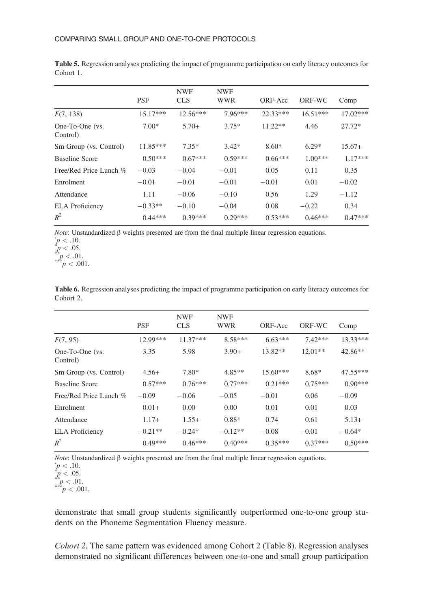|                             | <b>PSF</b> | <b>NWF</b><br><b>CLS</b> | <b>NWF</b><br><b>WWR</b> | ORF-Acc   | ORF-WC     | Comp       |
|-----------------------------|------------|--------------------------|--------------------------|-----------|------------|------------|
| F(7, 138)                   | $15.17***$ | $12.56***$               | $7.96***$                | 22.33***  | $16.51***$ | $17.02***$ |
| One-To-One (vs.<br>Control) | $7.00*$    | $5.70+$                  | $3.75*$                  | $11.22**$ | 4.46       | $27.72*$   |
| Sm Group (vs. Control)      | $11.85***$ | $7.35*$                  | $3.42*$                  | $8.60*$   | $6.29*$    | $15.67+$   |
| Baseline Score              | $0.50***$  | $0.67***$                | $0.59***$                | $0.66***$ | $1.00***$  | $1.17***$  |
| Free/Red Price Lunch %      | $-0.03$    | $-0.04$                  | $-0.01$                  | 0.05      | 0.11       | 0.35       |
| Enrolment                   | $-0.01$    | $-0.01$                  | $-0.01$                  | $-0.01$   | 0.01       | $-0.02$    |
| Attendance                  | 1.11       | $-0.06$                  | $-0.10$                  | 0.56      | 1.29       | $-1.12$    |
| <b>ELA</b> Proficiency      | $-0.33**$  | $-0.10$                  | $-0.04$                  | 0.08      | $-0.22$    | 0.34       |
| $R^2$                       | $0.44***$  | $0.39***$                | $0.29***$                | $0.53***$ | $0.46***$  | $0.47***$  |

**Table 5.** Regression analyses predicting the impact of programme participation on early literacy outcomes for Cohort 1.

*Note*: Unstandardized β weights presented are from the final multiple linear regression equations.  $\dot{p}$  < .10.

 $p < .05$ .

 $\sum_{n=1}^{4} p < .01.$ <br>*p*  $< .001.$ 

|           |  |  |  | Table 6. Regression analyses predicting the impact of programme participation on early literacy outcomes for |  |  |
|-----------|--|--|--|--------------------------------------------------------------------------------------------------------------|--|--|
| Cohort 2. |  |  |  |                                                                                                              |  |  |

|                             | <b>PSF</b> | <b>NWF</b><br><b>CLS</b> | <b>NWF</b><br><b>WWR</b> | ORF-Acc    | ORF-WC    | Comp       |
|-----------------------------|------------|--------------------------|--------------------------|------------|-----------|------------|
|                             |            |                          |                          |            |           |            |
| F(7, 95)                    | 12.99***   | $11.37***$               | $8.58***$                | $6.63***$  | $7.42***$ | $13.33***$ |
| One-To-One (vs.<br>Control) | $-3.35$    | 5.98                     | $3.90+$                  | $13.82**$  | $12.01**$ | $42.86**$  |
| Sm Group (vs. Control)      | $4.56+$    | $7.80*$                  | $4.85**$                 | $15.60***$ | 8.68*     | $47.55***$ |
| <b>Baseline Score</b>       | $0.57***$  | $0.76***$                | $0.77***$                | $0.21***$  | $0.75***$ | $0.90***$  |
| Free/Red Price Lunch %      | $-0.09$    | $-0.06$                  | $-0.05$                  | $-0.01$    | 0.06      | $-0.09$    |
| Enrolment                   | $0.01+$    | 0.00                     | 0.00                     | 0.01       | 0.01      | 0.03       |
| Attendance                  | $1.17+$    | $1.55+$                  | $0.88*$                  | 0.74       | 0.61      | $5.13+$    |
| <b>ELA</b> Proficiency      | $-0.21**$  | $-0.24*$                 | $-0.12**$                | $-0.08$    | $-0.01$   | $-0.64*$   |
| $R^2$                       | $0.49***$  | $0.46***$                | $0.40***$                | $0.35***$  | $0.37***$ | $0.50***$  |

*Note*: Unstandardized β weights presented are from the final multiple linear regression equations.

 $\int_{0}^{4\pi} p < .01.$ <br>*p*  $< .001.$ 

demonstrate that small group students significantly outperformed one-to-one group students on the Phoneme Segmentation Fluency measure.

*Cohort 2.* The same pattern was evidenced among Cohort 2 (Table 8). Regression analyses demonstrated no significant differences between one-to-one and small group participation

 $\mu$  < .10.<br>*p* < .05.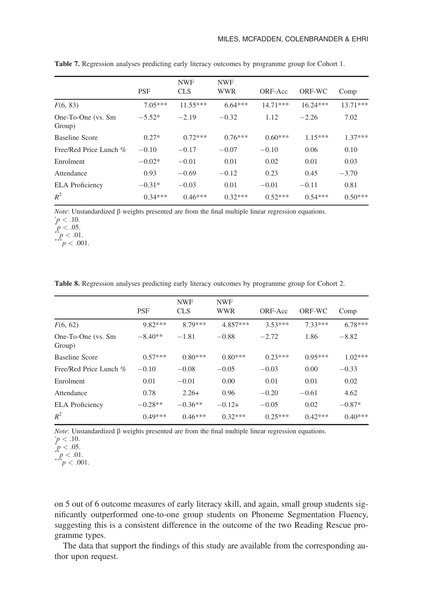|                              | <b>PSF</b> | <b>NWF</b><br><b>CLS</b> | <b>NWF</b><br><b>WWR</b> | ORF-Acc    | ORF-WC     | Comp       |
|------------------------------|------------|--------------------------|--------------------------|------------|------------|------------|
| F(6, 83)                     | $7.05***$  | $11.55***$               | $6.64***$                | $14.71***$ | $16.24***$ | $13.71***$ |
| One-To-One (vs. Sm<br>Group) | $-5.52*$   | $-2.19$                  | $-0.32$                  | 1.12       | $-2.26$    | 7.02       |
| Baseline Score               | $0.27*$    | $0.72***$                | $0.76***$                | $0.60***$  | $1.15***$  | $1.37***$  |
| Free/Red Price Lunch %       | $-0.10$    | $-0.17$                  | $-0.07$                  | $-0.10$    | 0.06       | 0.10       |
| Enrolment                    | $-0.02*$   | $-0.01$                  | 0.01                     | 0.02       | 0.01       | 0.03       |
| Attendance                   | 0.93       | $-0.69$                  | $-0.12$                  | 0.23       | 0.45       | $-3.70$    |
| <b>ELA</b> Proficiency       | $-0.31*$   | $-0.03$                  | 0.01                     | $-0.01$    | $-0.11$    | 0.81       |
| $R^2$                        | $0.34***$  | $0.46***$                | $0.32***$                | $0.52***$  | $0.54***$  | $0.50***$  |

**Table 7.** Regression analyses predicting early literacy outcomes by programme group for Cohort 1.

*Note*: Unstandardized β weights presented are from the final multiple linear regression equations.

 $\sum_{n=0}^{n} p < 0.01.$ <br>*p*  $< 0.001.$ 

|  | Table 8. Regression analyses predicting early literacy outcomes by programme group for Cohort 2. |  |  |  |  |  |  |  |  |  |  |  |
|--|--------------------------------------------------------------------------------------------------|--|--|--|--|--|--|--|--|--|--|--|
|--|--------------------------------------------------------------------------------------------------|--|--|--|--|--|--|--|--|--|--|--|

|                               |            | <b>NWF</b> | <b>NWF</b> |           |           |           |
|-------------------------------|------------|------------|------------|-----------|-----------|-----------|
|                               | <b>PSF</b> | <b>CLS</b> | <b>WWR</b> | ORF-Acc   | ORF-WC    | Comp      |
| F(6, 62)                      | $9.82***$  | $8.79***$  | $4.857***$ | $3.53***$ | $7.33***$ | $6.78***$ |
| One-To-One (vs. Sm)<br>Group) | $-8.40**$  | $-1.81$    | $-0.88$    | $-2.72$   | 1.86      | $-8.82$   |
| Baseline Score                | $0.57***$  | $0.80***$  | $0.80***$  | $0.23***$ | $0.95***$ | $1.02***$ |
| Free/Red Price Lunch %        | $-0.10$    | $-0.08$    | $-0.05$    | $-0.03$   | 0.00      | $-0.33$   |
| Enrolment                     | 0.01       | $-0.01$    | 0.00       | 0.01      | 0.01      | 0.02      |
| Attendance                    | 0.78       | $2.26+$    | 0.96       | $-0.20$   | $-0.61$   | 4.62      |
| <b>ELA</b> Proficiency        | $-0.28**$  | $-0.36**$  | $-0.12+$   | $-0.05$   | 0.02      | $-0.87*$  |
| $R^2$                         | $0.49***$  | $0.46***$  | $0.32***$  | $0.25***$ | $0.42***$ | $0.40***$ |

*Note*: Unstandardized β weights presented are from the final multiple linear regression equations.

on 5 out of 6 outcome measures of early literacy skill, and again, small group students significantly outperformed one-to-one group students on Phoneme Segmentation Fluency, suggesting this is a consistent difference in the outcome of the two Reading Rescue programme types.

The data that support the findings of this study are available from the corresponding author upon request.

 $p < .10.$ <br>  $p < .05.$ 

 $p < .10.$ <br>  $p < .05.$ 

 $\int_{0}^{p} p < .01.$ <br>*p*  $< .001.$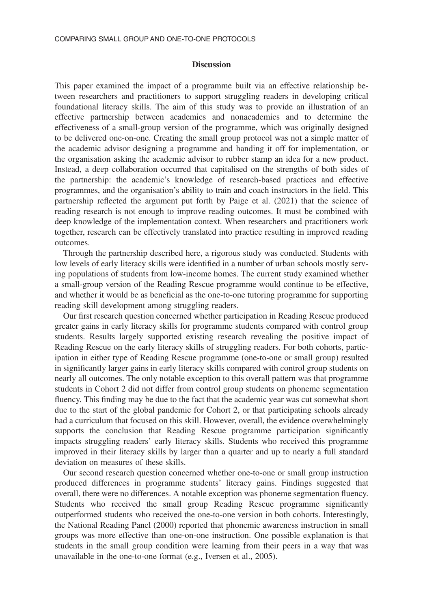#### **Discussion**

This paper examined the impact of a programme built via an effective relationship between researchers and practitioners to support struggling readers in developing critical foundational literacy skills. The aim of this study was to provide an illustration of an effective partnership between academics and nonacademics and to determine the effectiveness of a small-group version of the programme, which was originally designed to be delivered one-on-one. Creating the small group protocol was not a simple matter of the academic advisor designing a programme and handing it off for implementation, or the organisation asking the academic advisor to rubber stamp an idea for a new product. Instead, a deep collaboration occurred that capitalised on the strengths of both sides of the partnership: the academic's knowledge of research-based practices and effective programmes, and the organisation's ability to train and coach instructors in the field. This partnership reflected the argument put forth by Paige et al. (2021) that the science of reading research is not enough to improve reading outcomes. It must be combined with deep knowledge of the implementation context. When researchers and practitioners work together, research can be effectively translated into practice resulting in improved reading outcomes.

Through the partnership described here, a rigorous study was conducted. Students with low levels of early literacy skills were identified in a number of urban schools mostly serving populations of students from low-income homes. The current study examined whether a small-group version of the Reading Rescue programme would continue to be effective, and whether it would be as beneficial as the one-to-one tutoring programme for supporting reading skill development among struggling readers.

Our first research question concerned whether participation in Reading Rescue produced greater gains in early literacy skills for programme students compared with control group students. Results largely supported existing research revealing the positive impact of Reading Rescue on the early literacy skills of struggling readers. For both cohorts, participation in either type of Reading Rescue programme (one-to-one or small group) resulted in significantly larger gains in early literacy skills compared with control group students on nearly all outcomes. The only notable exception to this overall pattern was that programme students in Cohort 2 did not differ from control group students on phoneme segmentation fluency. This finding may be due to the fact that the academic year was cut somewhat short due to the start of the global pandemic for Cohort 2, or that participating schools already had a curriculum that focused on this skill. However, overall, the evidence overwhelmingly supports the conclusion that Reading Rescue programme participation significantly impacts struggling readers' early literacy skills. Students who received this programme improved in their literacy skills by larger than a quarter and up to nearly a full standard deviation on measures of these skills.

Our second research question concerned whether one-to-one or small group instruction produced differences in programme students' literacy gains. Findings suggested that overall, there were no differences. A notable exception was phoneme segmentation fluency. Students who received the small group Reading Rescue programme significantly outperformed students who received the one-to-one version in both cohorts. Interestingly, the National Reading Panel (2000) reported that phonemic awareness instruction in small groups was more effective than one-on-one instruction. One possible explanation is that students in the small group condition were learning from their peers in a way that was unavailable in the one-to-one format (e.g., Iversen et al., 2005).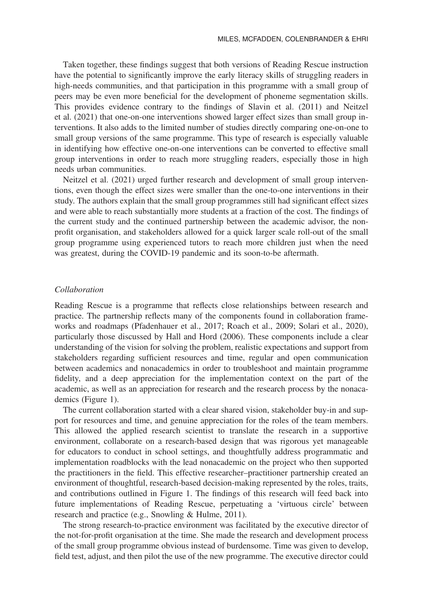Taken together, these findings suggest that both versions of Reading Rescue instruction have the potential to significantly improve the early literacy skills of struggling readers in high-needs communities, and that participation in this programme with a small group of peers may be even more beneficial for the development of phoneme segmentation skills. This provides evidence contrary to the findings of Slavin et al. (2011) and Neitzel et al. (2021) that one-on-one interventions showed larger effect sizes than small group interventions. It also adds to the limited number of studies directly comparing one-on-one to small group versions of the same programme. This type of research is especially valuable in identifying how effective one-on-one interventions can be converted to effective small group interventions in order to reach more struggling readers, especially those in high needs urban communities.

Neitzel et al. (2021) urged further research and development of small group interventions, even though the effect sizes were smaller than the one-to-one interventions in their study. The authors explain that the small group programmes still had significant effect sizes and were able to reach substantially more students at a fraction of the cost. The findings of the current study and the continued partnership between the academic advisor, the nonprofit organisation, and stakeholders allowed for a quick larger scale roll-out of the small group programme using experienced tutors to reach more children just when the need was greatest, during the COVID-19 pandemic and its soon-to-be aftermath.

#### *Collaboration*

Reading Rescue is a programme that reflects close relationships between research and practice. The partnership reflects many of the components found in collaboration frameworks and roadmaps (Pfadenhauer et al., 2017; Roach et al., 2009; Solari et al., 2020), particularly those discussed by Hall and Hord (2006). These components include a clear understanding of the vision for solving the problem, realistic expectations and support from stakeholders regarding sufficient resources and time, regular and open communication between academics and nonacademics in order to troubleshoot and maintain programme fidelity, and a deep appreciation for the implementation context on the part of the academic, as well as an appreciation for research and the research process by the nonacademics (Figure 1).

The current collaboration started with a clear shared vision, stakeholder buy-in and support for resources and time, and genuine appreciation for the roles of the team members. This allowed the applied research scientist to translate the research in a supportive environment, collaborate on a research-based design that was rigorous yet manageable for educators to conduct in school settings, and thoughtfully address programmatic and implementation roadblocks with the lead nonacademic on the project who then supported the practitioners in the field. This effective researcher–practitioner partnership created an environment of thoughtful, research-based decision-making represented by the roles, traits, and contributions outlined in Figure 1. The findings of this research will feed back into future implementations of Reading Rescue, perpetuating a 'virtuous circle' between research and practice (e.g., Snowling & Hulme, 2011).

The strong research-to-practice environment was facilitated by the executive director of the not-for-profit organisation at the time. She made the research and development process of the small group programme obvious instead of burdensome. Time was given to develop, field test, adjust, and then pilot the use of the new programme. The executive director could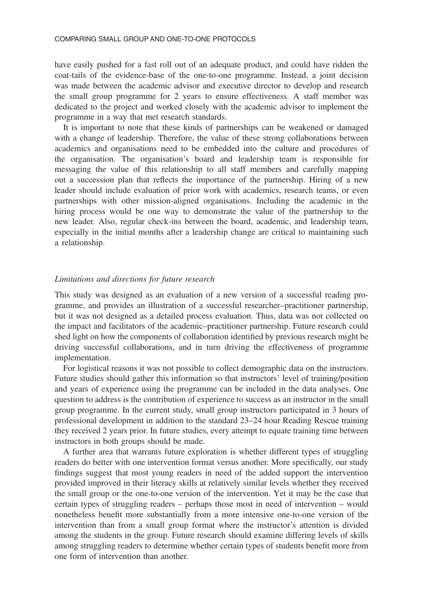have easily pushed for a fast roll out of an adequate product, and could have ridden the coat-tails of the evidence-base of the one-to-one programme. Instead, a joint decision was made between the academic advisor and executive director to develop and research the small group programme for 2 years to ensure effectiveness. A staff member was dedicated to the project and worked closely with the academic advisor to implement the programme in a way that met research standards.

It is important to note that these kinds of partnerships can be weakened or damaged with a change of leadership. Therefore, the value of these strong collaborations between academics and organisations need to be embedded into the culture and procedures of the organisation. The organisation's board and leadership team is responsible for messaging the value of this relationship to all staff members and carefully mapping out a succession plan that reflects the importance of the partnership. Hiring of a new leader should include evaluation of prior work with academics, research teams, or even partnerships with other mission-aligned organisations. Including the academic in the hiring process would be one way to demonstrate the value of the partnership to the new leader. Also, regular check-ins between the board, academic, and leadership team, especially in the initial months after a leadership change are critical to maintaining such a relationship.

#### *Limitations and directions for future research*

This study was designed as an evaluation of a new version of a successful reading programme, and provides an illustration of a successful researcher–practitioner partnership, but it was not designed as a detailed process evaluation. Thus, data was not collected on the impact and facilitators of the academic–practitioner partnership. Future research could shed light on how the components of collaboration identified by previous research might be driving successful collaborations, and in turn driving the effectiveness of programme implementation.

For logistical reasons it was not possible to collect demographic data on the instructors. Future studies should gather this information so that instructors' level of training/position and years of experience using the programme can be included in the data analyses. One question to address is the contribution of experience to success as an instructor in the small group programme. In the current study, small group instructors participated in 3 hours of professional development in addition to the standard 23–24 hour Reading Rescue training they received 2 years prior. In future studies, every attempt to equate training time between instructors in both groups should be made.

A further area that warrants future exploration is whether different types of struggling readers do better with one intervention format versus another. More specifically, our study findings suggest that most young readers in need of the added support the intervention provided improved in their literacy skills at relatively similar levels whether they received the small group or the one-to-one version of the intervention. Yet it may be the case that certain types of struggling readers – perhaps those most in need of intervention – would nonetheless benefit more substantially from a more intensive one-to-one version of the intervention than from a small group format where the instructor's attention is divided among the students in the group. Future research should examine differing levels of skills among struggling readers to determine whether certain types of students benefit more from one form of intervention than another.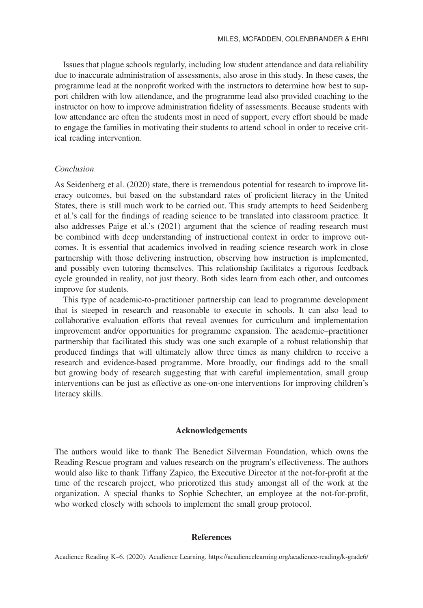Issues that plague schools regularly, including low student attendance and data reliability due to inaccurate administration of assessments, also arose in this study. In these cases, the programme lead at the nonprofit worked with the instructors to determine how best to support children with low attendance, and the programme lead also provided coaching to the instructor on how to improve administration fidelity of assessments. Because students with low attendance are often the students most in need of support, every effort should be made to engage the families in motivating their students to attend school in order to receive critical reading intervention.

## *Conclusion*

As Seidenberg et al. (2020) state, there is tremendous potential for research to improve literacy outcomes, but based on the substandard rates of proficient literacy in the United States, there is still much work to be carried out. This study attempts to heed Seidenberg et al.'s call for the findings of reading science to be translated into classroom practice. It also addresses Paige et al.'s (2021) argument that the science of reading research must be combined with deep understanding of instructional context in order to improve outcomes. It is essential that academics involved in reading science research work in close partnership with those delivering instruction, observing how instruction is implemented, and possibly even tutoring themselves. This relationship facilitates a rigorous feedback cycle grounded in reality, not just theory. Both sides learn from each other, and outcomes improve for students.

This type of academic-to-practitioner partnership can lead to programme development that is steeped in research and reasonable to execute in schools. It can also lead to collaborative evaluation efforts that reveal avenues for curriculum and implementation improvement and/or opportunities for programme expansion. The academic–practitioner partnership that facilitated this study was one such example of a robust relationship that produced findings that will ultimately allow three times as many children to receive a research and evidence-based programme. More broadly, our findings add to the small but growing body of research suggesting that with careful implementation, small group interventions can be just as effective as one-on-one interventions for improving children's literacy skills.

#### **Acknowledgements**

The authors would like to thank The Benedict Silverman Foundation, which owns the Reading Rescue program and values research on the program's effectiveness. The authors would also like to thank Tiffany Zapico, the Executive Director at the not-for-profit at the time of the research project, who priorotized this study amongst all of the work at the organization. A special thanks to Sophie Schechter, an employee at the not-for-profit, who worked closely with schools to implement the small group protocol.

## **References**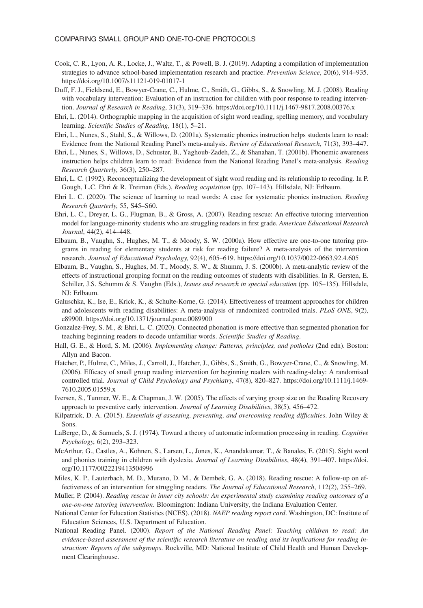- Cook, C. R., Lyon, A. R., Locke, J., Waltz, T., & Powell, B. J. (2019). Adapting a compilation of implementation strategies to advance school-based implementation research and practice. *Prevention Science*, 20(6), 914–935. <https://doi.org/10.1007/s11121-019-01017-1>
- Duff, F. J., Fieldsend, E., Bowyer-Crane, C., Hulme, C., Smith, G., Gibbs, S., & Snowling, M. J. (2008). Reading with vocabulary intervention: Evaluation of an instruction for children with poor response to reading intervention. *Journal of Research in Reading*, 31(3), 319–336.<https://doi.org/10.1111/j.1467-9817.2008.00376.x>
- Ehri, L. (2014). Orthographic mapping in the acquisition of sight word reading, spelling memory, and vocabulary learning. *Scientific Studies of Reading*, 18(1), 5–21.
- Ehri, L., Nunes, S., Stahl, S., & Willows, D. (2001a). Systematic phonics instruction helps students learn to read: Evidence from the National Reading Panel's meta-analysis. *Review of Educational Research*, 71(3), 393–447.
- Ehri, L., Nunes, S., Willows, D., Schuster, B., Yaghoub-Zadeh, Z., & Shanahan, T. (2001b). Phonemic awareness instruction helps children learn to read: Evidence from the National Reading Panel's meta-analysis. *Reading Research Quarterly*, 36(3), 250–287.
- Ehri, L. C. (1992). Reconceptualizing the development of sight word reading and its relationship to recoding. In P. Gough, L.C. Ehri & R. Treiman (Eds.), *Reading acquisition* (pp. 107–143). Hillsdale, NJ: Erlbaum.
- Ehri L. C. (2020). The science of learning to read words: A case for systematic phonics instruction. *Reading Research Quarterly*, 55, S45–S60.
- Ehri, L. C., Dreyer, L. G., Flugman, B., & Gross, A. (2007). Reading rescue: An effective tutoring intervention model for language-minority students who are struggling readers in first grade. *American Educational Research Journal*, 44(2), 414–448.
- Elbaum, B., Vaughn, S., Hughes, M. T., & Moody, S. W. (2000a). How effective are one-to-one tutoring programs in reading for elementary students at risk for reading failure? A meta-analysis of the intervention research. *Journal of Educational Psychology*, 92(4), 605–619.<https://doi.org/10.1037/0022-0663.92.4.605>
- Elbaum, B., Vaughn, S., Hughes, M. T., Moody, S. W., & Shumm, J. S. (2000b). A meta-analytic review of the effects of instructional grouping format on the reading outcomes of students with disabilities. In R. Gersten, E. Schiller, J.S. Schumm & S. Vaughn (Eds.), *Issues and research in special education* (pp. 105–135). Hillsdale, NJ: Erlbaum.
- Galuschka, K., Ise, E., Krick, K., & Schulte-Korne, G. (2014). Effectiveness of treatment approaches for children and adolescents with reading disabilities: A meta-analysis of randomized controlled trials. *PLoS ONE*, 9(2), e89900.<https://doi.org/10.1371/journal.pone.0089900>
- Gonzalez-Frey, S. M., & Ehri, L. C. (2020). Connected phonation is more effective than segmented phonation for teaching beginning readers to decode unfamiliar words. *Scientific Studies of Reading*.
- Hall, G. E., & Hord, S. M. (2006). *Implementing change: Patterns, principles, and potholes* (2nd edn). Boston: Allyn and Bacon.
- Hatcher, P., Hulme, C., Miles, J., Carroll, J., Hatcher, J., Gibbs, S., Smith, G., Bowyer-Crane, C., & Snowling, M. (2006). Efficacy of small group reading intervention for beginning readers with reading-delay: A randomised controlled trial. *Journal of Child Psychology and Psychiatry*, 47(8), 820–827. [https://doi.org/10.1111/j.1469-](https://doi.org/10.1111/j.1469-7610.2005.01559.x) [7610.2005.01559.x](https://doi.org/10.1111/j.1469-7610.2005.01559.x)
- Iversen, S., Tunmer, W. E., & Chapman, J. W. (2005). The effects of varying group size on the Reading Recovery approach to preventive early intervention. *Journal of Learning Disabilities*, 38(5), 456–472.
- Kilpatrick, D. A. (2015). *Essentials of assessing, preventing, and overcoming reading difficulties*. John Wiley & Sons.
- LaBerge, D., & Samuels, S. J. (1974). Toward a theory of automatic information processing in reading. *Cognitive Psychology*, 6(2), 293–323.
- McArthur, G., Castles, A., Kohnen, S., Larsen, L., Jones, K., Anandakumar, T., & Banales, E. (2015). Sight word and phonics training in children with dyslexia. *Journal of Learning Disabilities*, 48(4), 391–407. [https://doi.](https://doi.org/10.1177/0022219413504996) [org/10.1177/0022219413504996](https://doi.org/10.1177/0022219413504996)
- Miles, K. P., Lauterbach, M. D., Murano, D. M., & Dembek, G. A. (2018). Reading rescue: A follow-up on effectiveness of an intervention for struggling readers. *The Journal of Educational Research*, 112(2), 255–269.
- Muller, P. (2004). *Reading rescue in inner city schools: An experimental study examining reading outcomes of a one-on-one tutoring intervention*. Bloomington: Indiana University, the Indiana Evaluation Center.
- National Center for Education Statistics (NCES). (2018). *NAEP reading report card*. Washington, DC: Institute of Education Sciences, U.S. Department of Education.
- National Reading Panel. (2000). *Report of the National Reading Panel: Teaching children to read: An evidence-based assessment of the scientific research literature on reading and its implications for reading instruction: Reports of the subgroups*. Rockville, MD: National Institute of Child Health and Human Development Clearinghouse.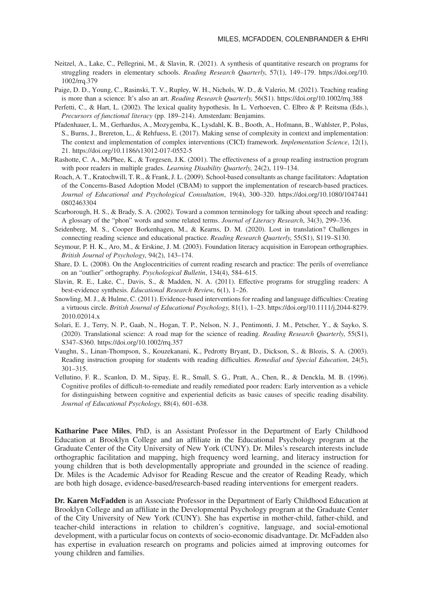- Neitzel, A., Lake, C., Pellegrini, M., & Slavin, R. (2021). A synthesis of quantitative research on programs for struggling readers in elementary schools. *Reading Research Quarterly*, 57(1), 149–179. [https://doi.org/10.](https://doi.org/10.1002/rrq.379) [1002/rrq.379](https://doi.org/10.1002/rrq.379)
- Paige, D. D., Young, C., Rasinski, T. V., Rupley, W. H., Nichols, W. D., & Valerio, M. (2021). Teaching reading is more than a science: It's also an art. *Reading Research Quarterly*, 56(S1).<https://doi.org/10.1002/rrq.388>
- Perfetti, C., & Hart, L. (2002). The lexical quality hypothesis. In L. Verhoeven, C. Elbro & P. Reitsma (Eds.), *Precursors of functional literacy* (pp. 189–214). Amsterdam: Benjamins.
- Pfadenhauer, L. M., Gerhardus, A., Mozygemba, K., Lysdahl, K. B., Booth, A., Hofmann, B., Wahlster, P., Polus, S., Burns, J., Brereton, L., & Rehfuess, E. (2017). Making sense of complexity in context and implementation: The context and implementation of complex interventions (CICI) framework. *Implementation Science*, 12(1), 21.<https://doi.org/10.1186/s13012-017-0552-5>
- Rashotte, C. A., McPhee, K., & Torgesen, J.K. (2001). The effectiveness of a group reading instruction program with poor readers in multiple grades. *Learning Disability Quarterly*, 24(2), 119–134.
- Roach, A. T., Kratochwill, T. R., & Frank, J. L. (2009). School-based consultants as change facilitators: Adaptation of the Concerns-Based Adoption Model (CBAM) to support the implementation of research-based practices. *Journal of Educational and Psychological Consultation*, 19(4), 300–320. [https://doi.org/10.1080/1047441](https://doi.org/10.1080/10474410802463304) [0802463304](https://doi.org/10.1080/10474410802463304)
- Scarborough, H. S., & Brady, S. A. (2002). Toward a common terminology for talking about speech and reading: A glossary of the "phon" words and some related terms. *Journal of Literacy Research*, 34(3), 299–336.
- Seidenberg, M. S., Cooper Borkenhagen, M., & Kearns, D. M. (2020). Lost in translation? Challenges in connecting reading science and educational practice. *Reading Research Quarterly*, 55(S1), S119–S130.
- Seymour, P. H. K., Aro, M., & Erskine, J. M. (2003). Foundation literacy acquisition in European orthographies. *British Journal of Psychology*, 94(2), 143–174.
- Share, D. L. (2008). On the Anglocentricities of current reading research and practice: The perils of overreliance on an "outlier" orthography. *Psychological Bulletin*, 134(4), 584–615.
- Slavin, R. E., Lake, C., Davis, S., & Madden, N. A. (2011). Effective programs for struggling readers: A best-evidence synthesis. *Educational Research Review*, 6(1), 1–26.
- Snowling, M. J., & Hulme, C. (2011). Evidence-based interventions for reading and language difficulties: Creating a virtuous circle. *British Journal of Educational Psychology*, 81(1), 1–23. [https://doi.org/10.1111/j.2044-8279.](https://doi.org/10.1111/j.2044-8279.2010.02014.x) [2010.02014.x](https://doi.org/10.1111/j.2044-8279.2010.02014.x)
- Solari, E. J., Terry, N. P., Gaab, N., Hogan, T. P., Nelson, N. J., Pentimonti, J. M., Petscher, Y., & Sayko, S. (2020). Translational science: A road map for the science of reading. *Reading Research Quarterly*, 55(S1), S347–S360.<https://doi.org/10.1002/rrq.357>
- Vaughn, S., Linan-Thompson, S., Kouzekanani, K., Pedrotty Bryant, D., Dickson, S., & Blozis, S. A. (2003). Reading instruction grouping for students with reading difficulties. *Remedial and Special Education*, 24(5), 301–315.
- Vellutino, F. R., Scanlon, D. M., Sipay, E. R., Small, S. G., Pratt, A., Chen, R., & Denckla, M. B. (1996). Cognitive profiles of difficult-to-remediate and readily remediated poor readers: Early intervention as a vehicle for distinguishing between cognitive and experiential deficits as basic causes of specific reading disability. *Journal of Educational Psychology*, 88(4), 601–638.

**Katharine Pace Miles**, PhD, is an Assistant Professor in the Department of Early Childhood Education at Brooklyn College and an affiliate in the Educational Psychology program at the Graduate Center of the City University of New York (CUNY). Dr. Miles's research interests include orthographic facilitation and mapping, high frequency word learning, and literacy instruction for young children that is both developmentally appropriate and grounded in the science of reading. Dr. Miles is the Academic Advisor for Reading Rescue and the creator of Reading Ready, which are both high dosage, evidence-based/research-based reading interventions for emergent readers.

**Dr. Karen McFadden** is an Associate Professor in the Department of Early Childhood Education at Brooklyn College and an affiliate in the Developmental Psychology program at the Graduate Center of the City University of New York (CUNY). She has expertise in mother-child, father-child, and teacher-child interactions in relation to children's cognitive, language, and social-emotional development, with a particular focus on contexts of socio-economic disadvantage. Dr. McFadden also has expertise in evaluation research on programs and policies aimed at improving outcomes for young children and families.